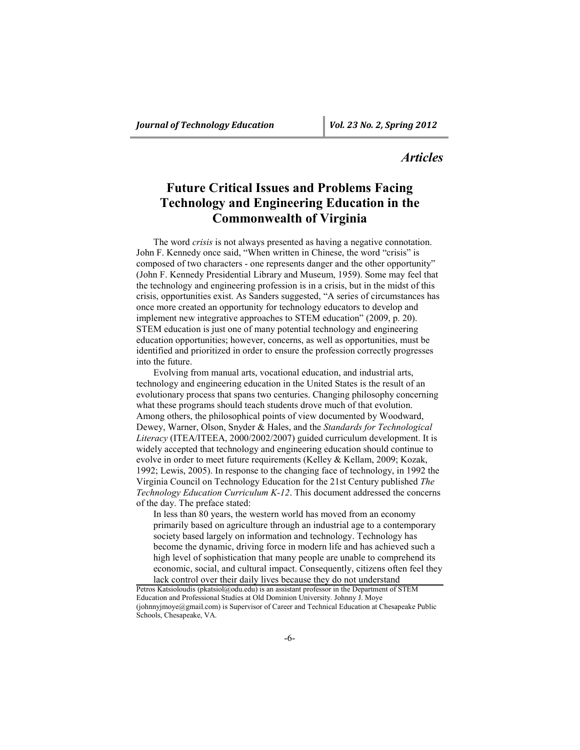## *Articles*

# **Future Critical Issues and Problems Facing Technology and Engineering Education in the Commonwealth of Virginia**

The word *crisis* is not always presented as having a negative connotation. John F. Kennedy once said, "When written in Chinese, the word "crisis" is composed of two characters - one represents danger and the other opportunity" (John F. Kennedy Presidential Library and Museum, 1959). Some may feel that the technology and engineering profession is in a crisis, but in the midst of this crisis, opportunities exist. As Sanders suggested, "A series of circumstances has once more created an opportunity for technology educators to develop and implement new integrative approaches to STEM education" (2009, p. 20). STEM education is just one of many potential technology and engineering education opportunities; however, concerns, as well as opportunities, must be identified and prioritized in order to ensure the profession correctly progresses into the future.

Evolving from manual arts, vocational education, and industrial arts, technology and engineering education in the United States is the result of an evolutionary process that spans two centuries. Changing philosophy concerning what these programs should teach students drove much of that evolution. Among others, the philosophical points of view documented by Woodward, Dewey, Warner, Olson, Snyder & Hales, and the *Standards for Technological Literacy* (ITEA/ITEEA, 2000/2002/2007) guided curriculum development. It is widely accepted that technology and engineering education should continue to evolve in order to meet future requirements (Kelley & Kellam, 2009; Kozak, 1992; Lewis, 2005). In response to the changing face of technology, in 1992 the Virginia Council on Technology Education for the 21st Century published *The Technology Education Curriculum K-12*. This document addressed the concerns of the day. The preface stated:

In less than 80 years, the western world has moved from an economy primarily based on agriculture through an industrial age to a contemporary society based largely on information and technology. Technology has become the dynamic, driving force in modern life and has achieved such a high level of sophistication that many people are unable to comprehend its economic, social, and cultural impact. Consequently, citizens often feel they lack control over their daily lives because they do not understand

Petros Katsioloudis (pkatsiol@odu.edu) is an assistant professor in the Department of STEM Education and Professional Studies at Old Dominion University. Johnny J. Moye (johnnyjmoye@gmail.com) is Supervisor of Career and Technical Education at Chesapeake Public Schools, Chesapeake, VA.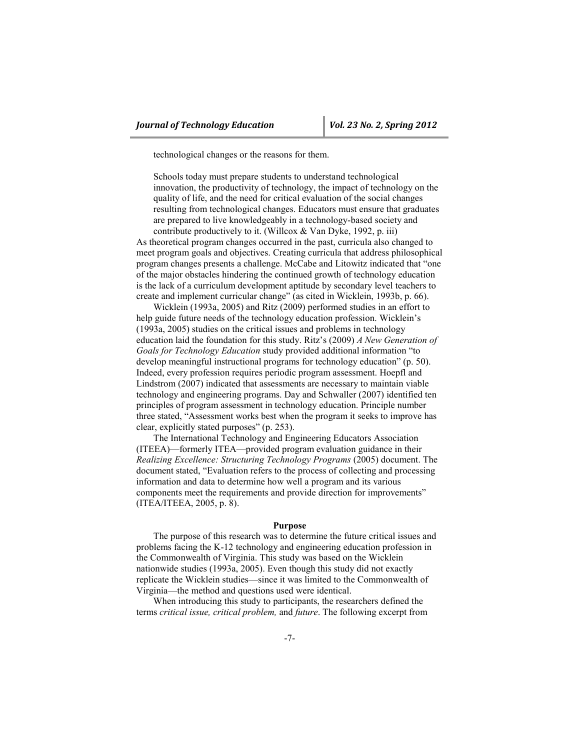technological changes or the reasons for them.

Schools today must prepare students to understand technological innovation, the productivity of technology, the impact of technology on the quality of life, and the need for critical evaluation of the social changes resulting from technological changes. Educators must ensure that graduates are prepared to live knowledgeably in a technology-based society and contribute productively to it. (Willcox & Van Dyke, 1992, p. iii)

As theoretical program changes occurred in the past, curricula also changed to meet program goals and objectives. Creating curricula that address philosophical program changes presents a challenge. McCabe and Litowitz indicated that "one of the major obstacles hindering the continued growth of technology education is the lack of a curriculum development aptitude by secondary level teachers to create and implement curricular change" (as cited in Wicklein, 1993b, p. 66).

Wicklein (1993a, 2005) and Ritz (2009) performed studies in an effort to help guide future needs of the technology education profession. Wicklein's (1993a, 2005) studies on the critical issues and problems in technology education laid the foundation for this study. Ritz's (2009) *A New Generation of Goals for Technology Education* study provided additional information "to develop meaningful instructional programs for technology education" (p. 50). Indeed, every profession requires periodic program assessment. Hoepfl and Lindstrom (2007) indicated that assessments are necessary to maintain viable technology and engineering programs. Day and Schwaller (2007) identified ten principles of program assessment in technology education. Principle number three stated, "Assessment works best when the program it seeks to improve has clear, explicitly stated purposes" (p. 253).

The International Technology and Engineering Educators Association (ITEEA)—formerly ITEA—provided program evaluation guidance in their *Realizing Excellence: Structuring Technology Programs* (2005) document. The document stated, "Evaluation refers to the process of collecting and processing information and data to determine how well a program and its various components meet the requirements and provide direction for improvements" (ITEA/ITEEA, 2005, p. 8).

#### **Purpose**

The purpose of this research was to determine the future critical issues and problems facing the K-12 technology and engineering education profession in the Commonwealth of Virginia. This study was based on the Wicklein nationwide studies (1993a, 2005). Even though this study did not exactly replicate the Wicklein studies—since it was limited to the Commonwealth of Virginia—the method and questions used were identical.

When introducing this study to participants, the researchers defined the terms *critical issue, critical problem,* and *future*. The following excerpt from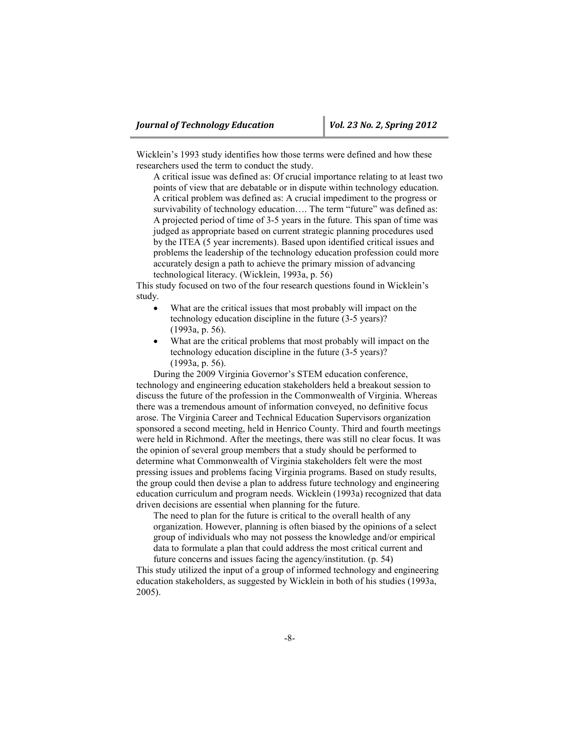Wicklein's 1993 study identifies how those terms were defined and how these researchers used the term to conduct the study.

A critical issue was defined as: Of crucial importance relating to at least two points of view that are debatable or in dispute within technology education. A critical problem was defined as: A crucial impediment to the progress or survivability of technology education.... The term "future" was defined as: A projected period of time of 3-5 years in the future. This span of time was judged as appropriate based on current strategic planning procedures used by the ITEA (5 year increments). Based upon identified critical issues and problems the leadership of the technology education profession could more accurately design a path to achieve the primary mission of advancing technological literacy. (Wicklein, 1993a, p. 56)

This study focused on two of the four research questions found in Wicklein's study.

- What are the critical issues that most probably will impact on the technology education discipline in the future (3-5 years)? (1993a, p. 56).
- What are the critical problems that most probably will impact on the technology education discipline in the future (3-5 years)? (1993a, p. 56).

During the 2009 Virginia Governor's STEM education conference, technology and engineering education stakeholders held a breakout session to discuss the future of the profession in the Commonwealth of Virginia. Whereas there was a tremendous amount of information conveyed, no definitive focus arose. The Virginia Career and Technical Education Supervisors organization sponsored a second meeting, held in Henrico County. Third and fourth meetings were held in Richmond. After the meetings, there was still no clear focus. It was the opinion of several group members that a study should be performed to determine what Commonwealth of Virginia stakeholders felt were the most pressing issues and problems facing Virginia programs. Based on study results, the group could then devise a plan to address future technology and engineering education curriculum and program needs. Wicklein (1993a) recognized that data driven decisions are essential when planning for the future.

The need to plan for the future is critical to the overall health of any organization. However, planning is often biased by the opinions of a select group of individuals who may not possess the knowledge and/or empirical data to formulate a plan that could address the most critical current and future concerns and issues facing the agency/institution. (p. 54)

This study utilized the input of a group of informed technology and engineering education stakeholders, as suggested by Wicklein in both of his studies (1993a, 2005).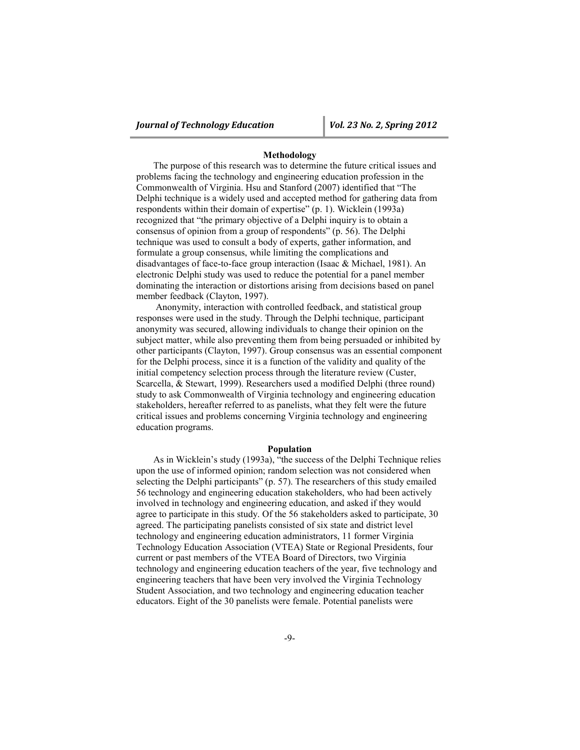#### **Methodology**

The purpose of this research was to determine the future critical issues and problems facing the technology and engineering education profession in the Commonwealth of Virginia. Hsu and Stanford (2007) identified that "The Delphi technique is a widely used and accepted method for gathering data from respondents within their domain of expertise" (p. 1). Wicklein (1993a) recognized that "the primary objective of a Delphi inquiry is to obtain a consensus of opinion from a group of respondents" (p. 56). The Delphi technique was used to consult a body of experts, gather information, and formulate a group consensus, while limiting the complications and disadvantages of face-to-face group interaction (Isaac & Michael, 1981). An electronic Delphi study was used to reduce the potential for a panel member dominating the interaction or distortions arising from decisions based on panel member feedback (Clayton, 1997).

Anonymity, interaction with controlled feedback, and statistical group responses were used in the study. Through the Delphi technique, participant anonymity was secured, allowing individuals to change their opinion on the subject matter, while also preventing them from being persuaded or inhibited by other participants (Clayton, 1997). Group consensus was an essential component for the Delphi process, since it is a function of the validity and quality of the initial competency selection process through the literature review (Custer, Scarcella, & Stewart, 1999). Researchers used a modified Delphi (three round) study to ask Commonwealth of Virginia technology and engineering education stakeholders, hereafter referred to as panelists, what they felt were the future critical issues and problems concerning Virginia technology and engineering education programs.

#### **Population**

As in Wicklein's study (1993a), "the success of the Delphi Technique relies upon the use of informed opinion; random selection was not considered when selecting the Delphi participants" (p. 57). The researchers of this study emailed 56 technology and engineering education stakeholders, who had been actively involved in technology and engineering education, and asked if they would agree to participate in this study. Of the 56 stakeholders asked to participate, 30 agreed. The participating panelists consisted of six state and district level technology and engineering education administrators, 11 former Virginia Technology Education Association (VTEA) State or Regional Presidents, four current or past members of the VTEA Board of Directors, two Virginia technology and engineering education teachers of the year, five technology and engineering teachers that have been very involved the Virginia Technology Student Association, and two technology and engineering education teacher educators. Eight of the 30 panelists were female. Potential panelists were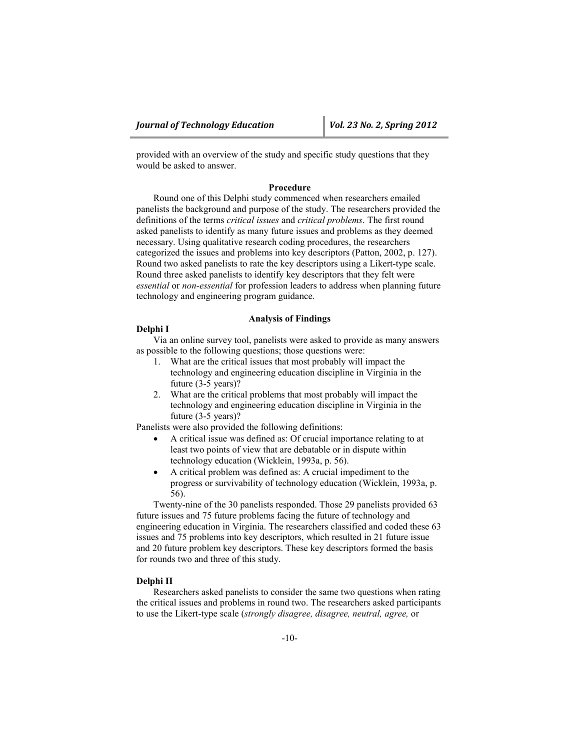provided with an overview of the study and specific study questions that they would be asked to answer.

## **Procedure**

Round one of this Delphi study commenced when researchers emailed panelists the background and purpose of the study. The researchers provided the definitions of the terms *critical issues* and *critical problems*. The first round asked panelists to identify as many future issues and problems as they deemed necessary. Using qualitative research coding procedures, the researchers categorized the issues and problems into key descriptors (Patton, 2002, p. 127). Round two asked panelists to rate the key descriptors using a Likert-type scale. Round three asked panelists to identify key descriptors that they felt were *essential* or *non-essential* for profession leaders to address when planning future technology and engineering program guidance.

#### **Analysis of Findings**

#### **Delphi I**

Via an online survey tool, panelists were asked to provide as many answers as possible to the following questions; those questions were:

- 1. What are the critical issues that most probably will impact the technology and engineering education discipline in Virginia in the future (3-5 years)?
- 2. What are the critical problems that most probably will impact the technology and engineering education discipline in Virginia in the future (3-5 years)?

Panelists were also provided the following definitions:

- A critical issue was defined as: Of crucial importance relating to at least two points of view that are debatable or in dispute within technology education (Wicklein, 1993a, p. 56).
- A critical problem was defined as: A crucial impediment to the progress or survivability of technology education (Wicklein, 1993a, p. 56).

Twenty-nine of the 30 panelists responded. Those 29 panelists provided 63 future issues and 75 future problems facing the future of technology and engineering education in Virginia. The researchers classified and coded these 63 issues and 75 problems into key descriptors, which resulted in 21 future issue and 20 future problem key descriptors. These key descriptors formed the basis for rounds two and three of this study.

#### **Delphi II**

Researchers asked panelists to consider the same two questions when rating the critical issues and problems in round two. The researchers asked participants to use the Likert-type scale (*strongly disagree, disagree, neutral, agree,* or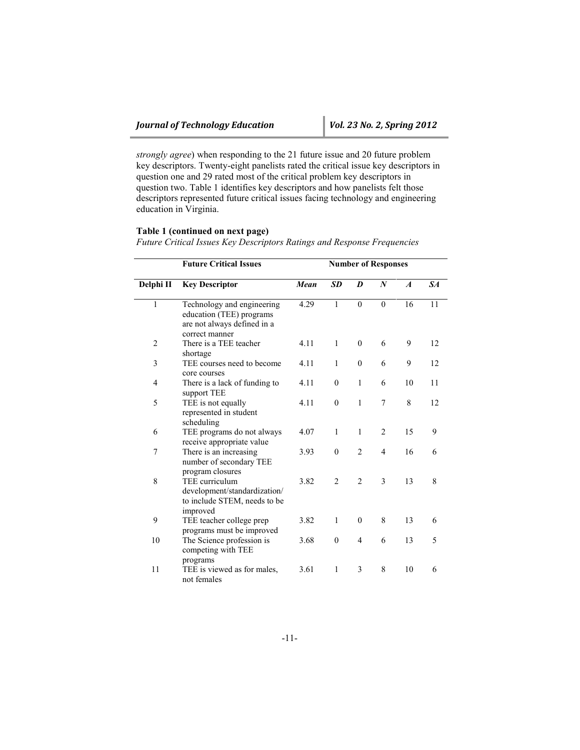*strongly agree*) when responding to the 21 future issue and 20 future problem key descriptors. Twenty-eight panelists rated the critical issue key descriptors in question one and 29 rated most of the critical problem key descriptors in question two. Table 1 identifies key descriptors and how panelists felt those descriptors represented future critical issues facing technology and engineering education in Virginia.

### **Table 1 (continued on next page)**

*Future Critical Issues Key Descriptors Ratings and Response Frequencies*

|                | <b>Number of Responses</b>                                                                              |      |                |                |                  |                  |        |
|----------------|---------------------------------------------------------------------------------------------------------|------|----------------|----------------|------------------|------------------|--------|
| Delphi II      | <b>Key Descriptor</b>                                                                                   | Mean | <b>SD</b>      | D              | $\boldsymbol{N}$ | $\boldsymbol{A}$ | $S\!A$ |
| $\mathbf{1}$   | Technology and engineering<br>education (TEE) programs<br>are not always defined in a<br>correct manner | 4.29 | $\mathbf{1}$   | $\overline{0}$ | $\mathbf{0}$     | 16               | 11     |
| $\overline{2}$ | There is a TEE teacher<br>shortage                                                                      | 4.11 | $\mathbf{1}$   | $\theta$       | 6                | 9                | 12     |
| 3              | TEE courses need to become<br>core courses                                                              | 4.11 | $\mathbf{1}$   | $\mathbf{0}$   | 6                | 9                | 12     |
| $\overline{4}$ | There is a lack of funding to<br>support TEE                                                            | 4.11 | $\mathbf{0}$   | $\mathbf{1}$   | 6                | 10               | 11     |
| 5              | TEE is not equally<br>represented in student<br>scheduling                                              | 4.11 | $\mathbf{0}$   | $\mathbf{1}$   | 7                | 8                | 12     |
| 6              | TEE programs do not always<br>receive appropriate value                                                 | 4.07 | $\mathbf{1}$   | $\mathbf{1}$   | $\overline{2}$   | 15               | 9      |
| 7              | There is an increasing<br>number of secondary TEE<br>program closures                                   | 3.93 | $\mathbf{0}$   | $\overline{2}$ | $\overline{4}$   | 16               | 6      |
| 8              | TEE curriculum<br>development/standardization/<br>to include STEM, needs to be<br>improved              | 3.82 | $\overline{2}$ | $\overline{2}$ | 3                | 13               | 8      |
| 9              | TEE teacher college prep<br>programs must be improved                                                   | 3.82 | $\mathbf{1}$   | $\mathbf{0}$   | 8                | 13               | 6      |
| 10             | The Science profession is<br>competing with TEE<br>programs                                             | 3.68 | $\mathbf{0}$   | 4              | 6                | 13               | 5      |
| 11             | TEE is viewed as for males,<br>not females                                                              | 3.61 | 1              | 3              | 8                | 10               | 6      |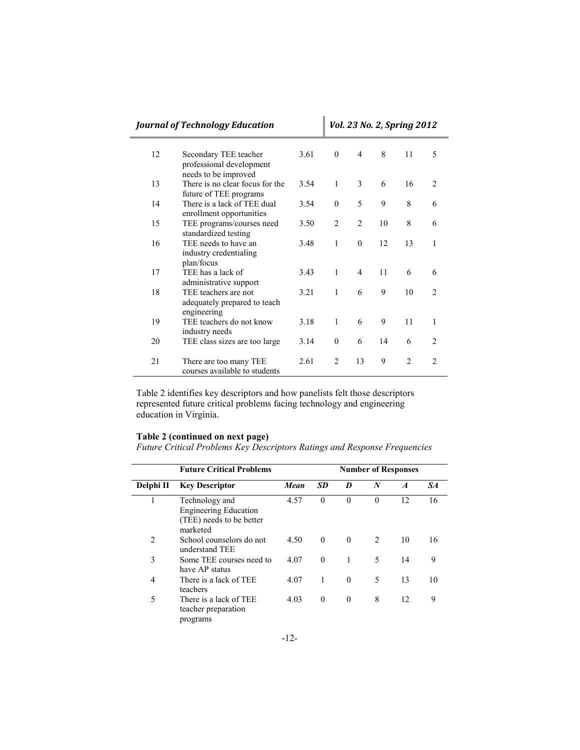| <b>Journal of Technology Education</b> |                                                                           |      |                |                |    | Vol. 23 No. 2, Spring 2012 |                    |
|----------------------------------------|---------------------------------------------------------------------------|------|----------------|----------------|----|----------------------------|--------------------|
| 12                                     | Secondary TEE teacher<br>professional development<br>needs to be improved | 3.61 | $\theta$       | $\overline{4}$ | 8  | 11                         | 5                  |
| 13                                     | There is no clear focus for the<br>future of TEE programs                 | 3.54 | $\mathbf{1}$   | 3              | 6  | 16                         | $\mathfrak{D}_{1}$ |
| 14                                     | There is a lack of TEE dual<br>enrollment opportunities                   | 3.54 | $\theta$       | 5              | 9  | 8                          | 6                  |
| 15                                     | TEE programs/courses need<br>standardized testing                         | 3.50 | $\overline{2}$ | $\overline{2}$ | 10 | 8                          | 6                  |
| 16                                     | TEE needs to have an<br>industry credentialing<br>plan/focus              | 3.48 | $\mathbf{1}$   | $\theta$       | 12 | 13                         | 1                  |
| 17                                     | TEE has a lack of<br>administrative support                               | 3.43 | $\mathbf{1}$   | $\overline{4}$ | 11 | 6                          | 6                  |
| 18                                     | TEE teachers are not<br>adequately prepared to teach<br>engineering       | 3.21 | $\mathbf{1}$   | 6              | 9  | 10                         | $\mathfrak{D}$     |
| 19                                     | TEE teachers do not know<br>industry needs                                | 3.18 | $\mathbf{1}$   | 6              | 9  | 11                         | 1                  |
| 20                                     | TEE class sizes are too large                                             | 3.14 | $\theta$       | 6              | 14 | 6                          | $\mathfrak{D}$     |
| 21                                     | There are too many TEE<br>courses available to students                   | 2.61 | $\overline{2}$ | 13             | 9  | $\overline{c}$             | $\mathcal{L}$      |

Table 2 identifies key descriptors and how panelists felt those descriptors represented future critical problems facing technology and engineering education in Virginia.

#### **Table 2 (continued on next page)**

*Future Critical Problems Key Descriptors Ratings and Response Frequencies*

| <b>Future Critical Problems</b> |                                                                                        |      | <b>Number of Responses</b> |              |                |                  |                |  |
|---------------------------------|----------------------------------------------------------------------------------------|------|----------------------------|--------------|----------------|------------------|----------------|--|
| Delphi II                       | <b>Key Descriptor</b>                                                                  | Mean | <b>SD</b>                  | D            | N              | $\boldsymbol{A}$ | S <sub>A</sub> |  |
|                                 | Technology and<br><b>Engineering Education</b><br>(TEE) needs to be better<br>marketed | 4.57 | $\theta$                   | $\Omega$     | $\Omega$       | 12               | 16             |  |
| $\overline{2}$                  | School counselors do not<br>understand TEE                                             | 4.50 | $\theta$                   | $\theta$     | $\mathfrak{D}$ | 10               | 16             |  |
| 3                               | Some TEE courses need to<br>have AP status                                             | 4.07 | $\theta$                   | $\mathbf{1}$ | 5              | 14               | 9              |  |
| $\overline{4}$                  | There is a lack of TEE<br>teachers                                                     | 4.07 | 1                          | $\theta$     | 5              | 13               | 10             |  |
| 5                               | There is a lack of TEE<br>teacher preparation<br>programs                              | 4.03 | $\theta$                   | $\theta$     | 8              | 12               | 9              |  |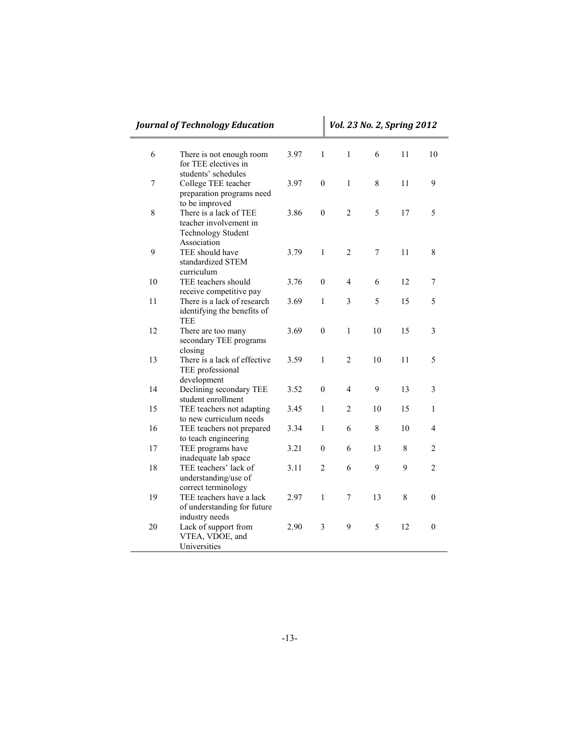|    | <b>Journal of Technology Education</b>                                                       |      |                  |                | Vol. 23 No. 2, Spring 2012 |    |                |  |
|----|----------------------------------------------------------------------------------------------|------|------------------|----------------|----------------------------|----|----------------|--|
| 6  | There is not enough room<br>for TEE electives in                                             | 3.97 | $\mathbf{1}$     | $\mathbf{1}$   | 6                          | 11 | 10             |  |
| 7  | students' schedules<br>College TEE teacher<br>preparation programs need<br>to be improved    | 3.97 | $\mathbf{0}$     | $\mathbf{1}$   | 8                          | 11 | 9              |  |
| 8  | There is a lack of TEE<br>teacher involvement in<br><b>Technology Student</b><br>Association | 3.86 | $\boldsymbol{0}$ | $\overline{2}$ | 5                          | 17 | 5              |  |
| 9  | TEE should have<br>standardized STEM<br>curriculum                                           | 3.79 | 1                | 2              | 7                          | 11 | 8              |  |
| 10 | TEE teachers should<br>receive competitive pay                                               | 3.76 | $\boldsymbol{0}$ | 4              | 6                          | 12 | 7              |  |
| 11 | There is a lack of research<br>identifying the benefits of<br><b>TEE</b>                     | 3.69 | $\mathbf{1}$     | 3              | 5                          | 15 | 5              |  |
| 12 | There are too many<br>secondary TEE programs<br>closing                                      | 3.69 | $\theta$         | $\mathbf{1}$   | 10                         | 15 | 3              |  |
| 13 | There is a lack of effective<br>TEE professional<br>development                              | 3.59 | $\mathbf{1}$     | $\overline{c}$ | 10                         | 11 | 5              |  |
| 14 | Declining secondary TEE<br>student enrollment                                                | 3.52 | $\mathbf{0}$     | 4              | 9                          | 13 | 3              |  |
| 15 | TEE teachers not adapting<br>to new curriculum needs                                         | 3.45 | $\mathbf{1}$     | $\overline{c}$ | 10                         | 15 | $\mathbf{1}$   |  |
| 16 | TEE teachers not prepared<br>to teach engineering                                            | 3.34 | 1                | 6              | 8                          | 10 | 4              |  |
| 17 | TEE programs have<br>inadequate lab space                                                    | 3.21 | $\boldsymbol{0}$ | 6              | 13                         | 8  | 2              |  |
| 18 | TEE teachers' lack of<br>understanding/use of<br>correct terminology                         | 3.11 | $\overline{2}$   | 6              | 9                          | 9  | $\overline{c}$ |  |
| 19 | TEE teachers have a lack<br>of understanding for future<br>industry needs                    | 2.97 | $\mathbf{1}$     | 7              | 13                         | 8  | $\theta$       |  |
| 20 | Lack of support from<br>VTEA, VDOE, and<br>Universities                                      | 2.90 | 3                | 9              | 5                          | 12 | $\theta$       |  |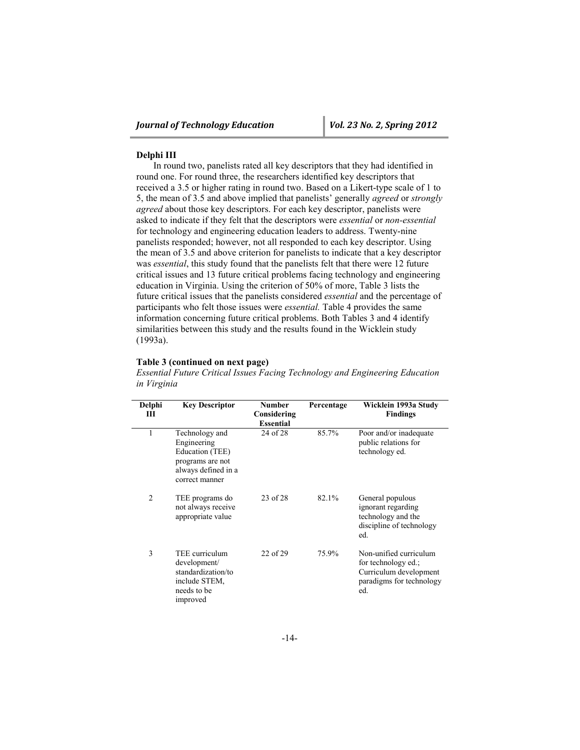#### **Delphi III**

In round two, panelists rated all key descriptors that they had identified in round one. For round three, the researchers identified key descriptors that received a 3.5 or higher rating in round two. Based on a Likert-type scale of 1 to 5, the mean of 3.5 and above implied that panelists' generally *agreed* or *strongly agreed* about those key descriptors. For each key descriptor, panelists were asked to indicate if they felt that the descriptors were *essential* or *non-essential* for technology and engineering education leaders to address. Twenty-nine panelists responded; however, not all responded to each key descriptor. Using the mean of 3.5 and above criterion for panelists to indicate that a key descriptor was *essential*, this study found that the panelists felt that there were 12 future critical issues and 13 future critical problems facing technology and engineering education in Virginia. Using the criterion of 50% of more, Table 3 lists the future critical issues that the panelists considered *essential* and the percentage of participants who felt those issues were *essential.* Table 4 provides the same information concerning future critical problems. Both Tables 3 and 4 identify similarities between this study and the results found in the Wicklein study (1993a).

#### **Table 3 (continued on next page)**

*Essential Future Critical Issues Facing Technology and Engineering Education in Virginia*

| Delphi<br>Ш    | <b>Key Descriptor</b>                                                                                         | <b>Number</b>            | Percentage | Wicklein 1993a Study                                                                                       |
|----------------|---------------------------------------------------------------------------------------------------------------|--------------------------|------------|------------------------------------------------------------------------------------------------------------|
|                |                                                                                                               | Considering<br>Essential |            | <b>Findings</b>                                                                                            |
| 1              | Technology and<br>Engineering<br>Education (TEE)<br>programs are not<br>always defined in a<br>correct manner | 24 of 28                 | 85.7%      | Poor and/or inadequate<br>public relations for<br>technology ed.                                           |
| $\overline{c}$ | TEE programs do<br>not always receive<br>appropriate value                                                    | 23 of 28                 | 82.1%      | General populous<br>ignorant regarding<br>technology and the<br>discipline of technology<br>ed.            |
| 3              | TEE curriculum<br>development/<br>standardization/to<br>include STEM.<br>needs to be<br>improved              | 22 of 29                 | 75.9%      | Non-unified curriculum<br>for technology ed.;<br>Curriculum development<br>paradigms for technology<br>ed. |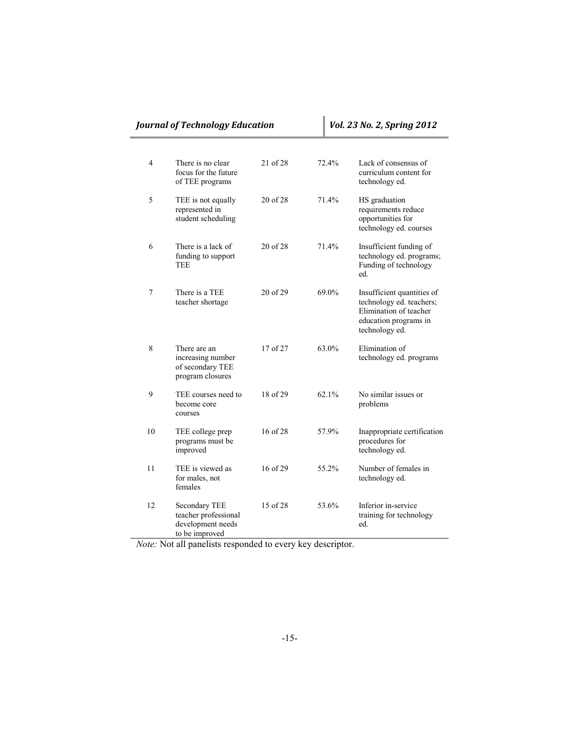|    | Journal of Technology Education                                              |              | Vol. 23 No. 2, Spring 2012 |                                                                                                                             |  |  |
|----|------------------------------------------------------------------------------|--------------|----------------------------|-----------------------------------------------------------------------------------------------------------------------------|--|--|
|    |                                                                              |              |                            |                                                                                                                             |  |  |
| 4  | There is no clear<br>focus for the future<br>of TEE programs                 | 21 of 28     | 72.4%                      | Lack of consensus of<br>curriculum content for<br>technology ed.                                                            |  |  |
| 5  | TEE is not equally<br>represented in<br>student scheduling                   | $20$ of $28$ | 71.4%                      | HS graduation<br>requirements reduce<br>opportunities for<br>technology ed. courses                                         |  |  |
| 6  | There is a lack of<br>funding to support<br>TEE                              | 20 of 28     | 71.4%                      | Insufficient funding of<br>technology ed. programs;<br>Funding of technology<br>ed.                                         |  |  |
| 7  | There is a TEE<br>teacher shortage                                           | $20$ of $29$ | 69.0%                      | Insufficient quantities of<br>technology ed. teachers;<br>Elimination of teacher<br>education programs in<br>technology ed. |  |  |
| 8  | There are an<br>increasing number<br>of secondary TEE<br>program closures    | 17 of 27     | 63.0%                      | Elimination of<br>technology ed. programs                                                                                   |  |  |
| 9  | TEE courses need to<br>become core<br>courses                                | 18 of 29     | $62.1\%$                   | No similar issues or<br>problems                                                                                            |  |  |
| 10 | TEE college prep<br>programs must be<br>improved                             | 16 of 28     | 57.9%                      | Inappropriate certification<br>procedures for<br>technology ed.                                                             |  |  |
| 11 | TEE is viewed as<br>for males, not<br>females                                | 16 of 29     | 55.2%                      | Number of females in<br>technology ed.                                                                                      |  |  |
| 12 | Secondary TEE<br>teacher professional<br>development needs<br>to be improved | 15 of 28     | 53.6%                      | Inferior in-service<br>training for technology<br>ed.                                                                       |  |  |

*Note:* Not all panelists responded to every key descriptor.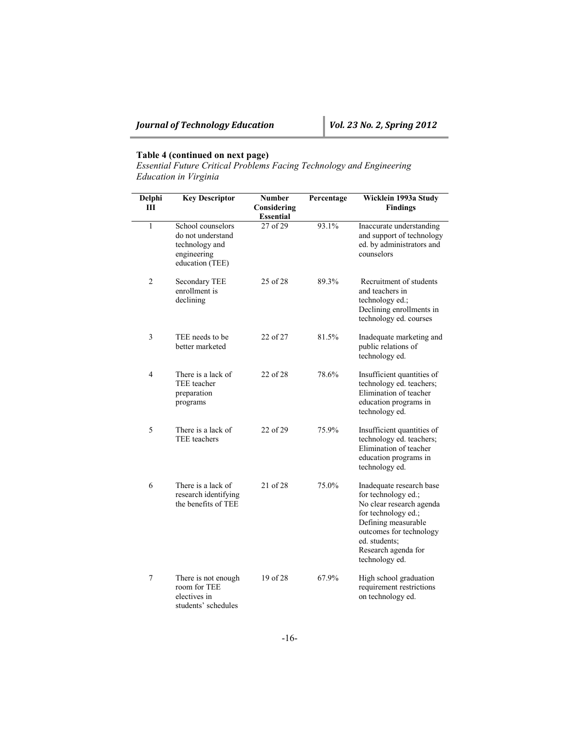#### **Table 4 (continued on next page)**

 $\mathbf{r}$ 

 $\overline{\phantom{0}}$ 

*Essential Future Critical Problems Facing Technology and Engineering Education in Virginia*

| Delphi<br>Ш    | <b>Key Descriptor</b>                                                                      | <b>Number</b><br>Considering<br><b>Essential</b> | Percentage | Wicklein 1993a Study<br><b>Findings</b>                                                                                                                                                                        |
|----------------|--------------------------------------------------------------------------------------------|--------------------------------------------------|------------|----------------------------------------------------------------------------------------------------------------------------------------------------------------------------------------------------------------|
| $\mathbf{1}$   | School counselors<br>do not understand<br>technology and<br>engineering<br>education (TEE) | 27 of 29                                         | 93.1%      | Inaccurate understanding<br>and support of technology<br>ed. by administrators and<br>counselors                                                                                                               |
| $\overline{c}$ | <b>Secondary TEE</b><br>enrollment is<br>declining                                         | 25 of 28                                         | 89.3%      | Recruitment of students<br>and teachers in<br>technology ed.;<br>Declining enrollments in<br>technology ed. courses                                                                                            |
| 3              | TEE needs to be<br>better marketed                                                         | 22 of 27                                         | 81.5%      | Inadequate marketing and<br>public relations of<br>technology ed.                                                                                                                                              |
| 4              | There is a lack of<br>TEE teacher<br>preparation<br>programs                               | 22 of 28                                         | 78.6%      | Insufficient quantities of<br>technology ed. teachers;<br>Elimination of teacher<br>education programs in<br>technology ed.                                                                                    |
| 5              | There is a lack of<br>TEE teachers                                                         | 22 of 29                                         | 75.9%      | Insufficient quantities of<br>technology ed. teachers;<br>Elimination of teacher<br>education programs in<br>technology ed.                                                                                    |
| 6              | There is a lack of<br>research identifying<br>the benefits of TEE                          | 21 of 28                                         | 75.0%      | Inadequate research base<br>for technology ed.;<br>No clear research agenda<br>for technology ed.;<br>Defining measurable<br>outcomes for technology<br>ed. students;<br>Research agenda for<br>technology ed. |
| 7              | There is not enough<br>room for TEE<br>electives in<br>students' schedules                 | 19 of 28                                         | 67.9%      | High school graduation<br>requirement restrictions<br>on technology ed.                                                                                                                                        |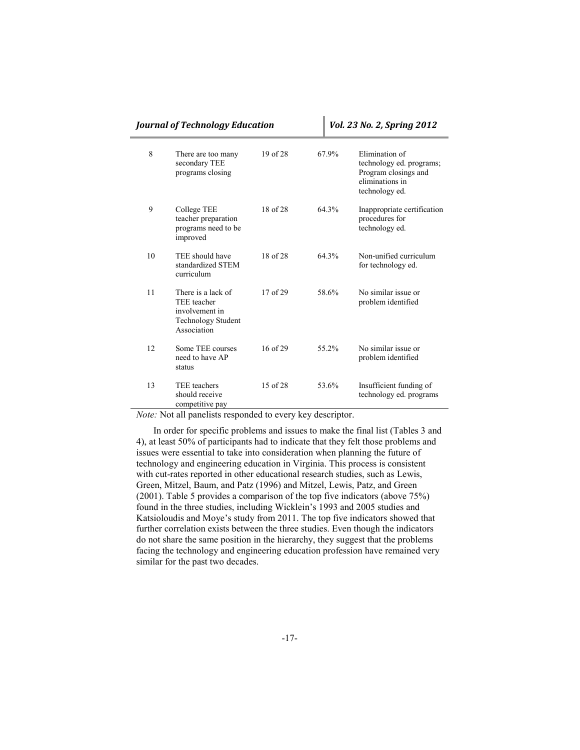| Journal of Technology Education |                                                                                                 |          |       | Vol. 23 No. 2, Spring 2012                                                                              |
|---------------------------------|-------------------------------------------------------------------------------------------------|----------|-------|---------------------------------------------------------------------------------------------------------|
| 8                               | There are too many<br>secondary TEE<br>programs closing                                         | 19 of 28 | 67.9% | Elimination of<br>technology ed. programs;<br>Program closings and<br>eliminations in<br>technology ed. |
| 9                               | College TEE<br>teacher preparation<br>programs need to be<br>improved                           | 18 of 28 | 64.3% | Inappropriate certification<br>procedures for<br>technology ed.                                         |
| 10                              | TEE should have<br>standardized STEM<br>curriculum                                              | 18 of 28 | 64.3% | Non-unified curriculum<br>for technology ed.                                                            |
| 11                              | There is a lack of<br>TEE teacher<br>involvement in<br><b>Technology Student</b><br>Association | 17 of 29 | 58.6% | No similar issue or<br>problem identified                                                               |
| 12                              | Some TEE courses<br>need to have AP<br>status                                                   | 16 of 29 | 55.2% | No similar issue or<br>problem identified                                                               |
| 13                              | TEE teachers<br>should receive<br>competitive pay                                               | 15 of 28 | 53.6% | Insufficient funding of<br>technology ed. programs                                                      |

*Note:* Not all panelists responded to every key descriptor.

In order for specific problems and issues to make the final list (Tables 3 and 4), at least 50% of participants had to indicate that they felt those problems and issues were essential to take into consideration when planning the future of technology and engineering education in Virginia. This process is consistent with cut-rates reported in other educational research studies, such as Lewis, Green, Mitzel, Baum, and Patz (1996) and Mitzel, Lewis, Patz, and Green (2001). Table 5 provides a comparison of the top five indicators (above 75%) found in the three studies, including Wicklein's 1993 and 2005 studies and Katsioloudis and Moye's study from 2011. The top five indicators showed that further correlation exists between the three studies. Even though the indicators do not share the same position in the hierarchy, they suggest that the problems facing the technology and engineering education profession have remained very similar for the past two decades.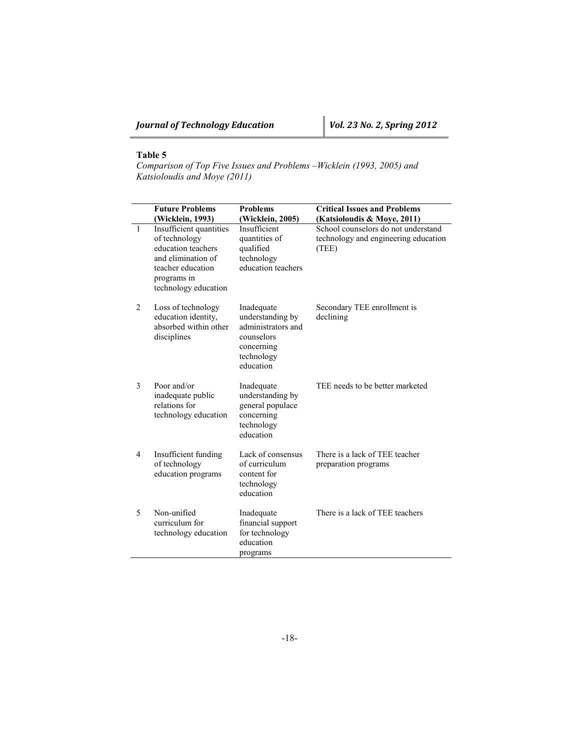## **Table 5**

*Comparison of Top Five Issues and Problems –Wicklein (1993, 2005) and Katsioloudis and Moye (2011)*

|                | <b>Future Problems</b><br>(Wicklein, 1993)                                                                                                       | <b>Problems</b><br>(Wicklein, 2005)                                                                         | <b>Critical Issues and Problems</b><br>(Katsioloudis & Moye, 2011)                   |
|----------------|--------------------------------------------------------------------------------------------------------------------------------------------------|-------------------------------------------------------------------------------------------------------------|--------------------------------------------------------------------------------------|
| 1              | Insufficient quantities<br>of technology<br>education teachers<br>and elimination of<br>teacher education<br>programs in<br>technology education | Insufficient<br>quantities of<br>qualified<br>technology<br>education teachers                              | School counselors do not understand<br>technology and engineering education<br>(TEE) |
| $\overline{c}$ | Loss of technology<br>education identity,<br>absorbed within other<br>disciplines                                                                | Inadequate<br>understanding by<br>administrators and<br>counselors<br>concerning<br>technology<br>education | Secondary TEE enrollment is<br>declining                                             |
| 3              | Poor and/or<br>inadequate public<br>relations for<br>technology education                                                                        | Inadequate<br>understanding by<br>general populace<br>concerning<br>technology<br>education                 | TEE needs to be better marketed                                                      |
| 4              | Insufficient funding<br>of technology<br>education programs                                                                                      | Lack of consensus<br>of curriculum<br>content for<br>technology<br>education                                | There is a lack of TEE teacher<br>preparation programs                               |
| 5              | Non-unified<br>curriculum for<br>technology education                                                                                            | Inadequate<br>financial support<br>for technology<br>education<br>programs                                  | There is a lack of TEE teachers                                                      |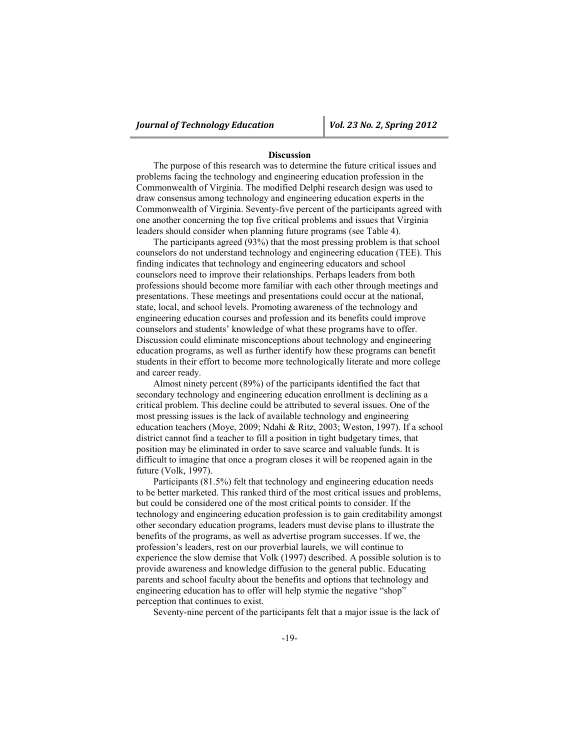#### **Discussion**

The purpose of this research was to determine the future critical issues and problems facing the technology and engineering education profession in the Commonwealth of Virginia. The modified Delphi research design was used to draw consensus among technology and engineering education experts in the Commonwealth of Virginia. Seventy-five percent of the participants agreed with one another concerning the top five critical problems and issues that Virginia leaders should consider when planning future programs (see Table 4).

The participants agreed (93%) that the most pressing problem is that school counselors do not understand technology and engineering education (TEE). This finding indicates that technology and engineering educators and school counselors need to improve their relationships. Perhaps leaders from both professions should become more familiar with each other through meetings and presentations. These meetings and presentations could occur at the national, state, local, and school levels. Promoting awareness of the technology and engineering education courses and profession and its benefits could improve counselors and students' knowledge of what these programs have to offer. Discussion could eliminate misconceptions about technology and engineering education programs, as well as further identify how these programs can benefit students in their effort to become more technologically literate and more college and career ready.

Almost ninety percent (89%) of the participants identified the fact that secondary technology and engineering education enrollment is declining as a critical problem. This decline could be attributed to several issues. One of the most pressing issues is the lack of available technology and engineering education teachers (Moye, 2009; Ndahi & Ritz, 2003; Weston, 1997). If a school district cannot find a teacher to fill a position in tight budgetary times, that position may be eliminated in order to save scarce and valuable funds. It is difficult to imagine that once a program closes it will be reopened again in the future (Volk, 1997).

Participants (81.5%) felt that technology and engineering education needs to be better marketed. This ranked third of the most critical issues and problems, but could be considered one of the most critical points to consider. If the technology and engineering education profession is to gain creditability amongst other secondary education programs, leaders must devise plans to illustrate the benefits of the programs, as well as advertise program successes. If we, the profession's leaders, rest on our proverbial laurels, we will continue to experience the slow demise that Volk (1997) described. A possible solution is to provide awareness and knowledge diffusion to the general public. Educating parents and school faculty about the benefits and options that technology and engineering education has to offer will help stymie the negative "shop" perception that continues to exist.

Seventy-nine percent of the participants felt that a major issue is the lack of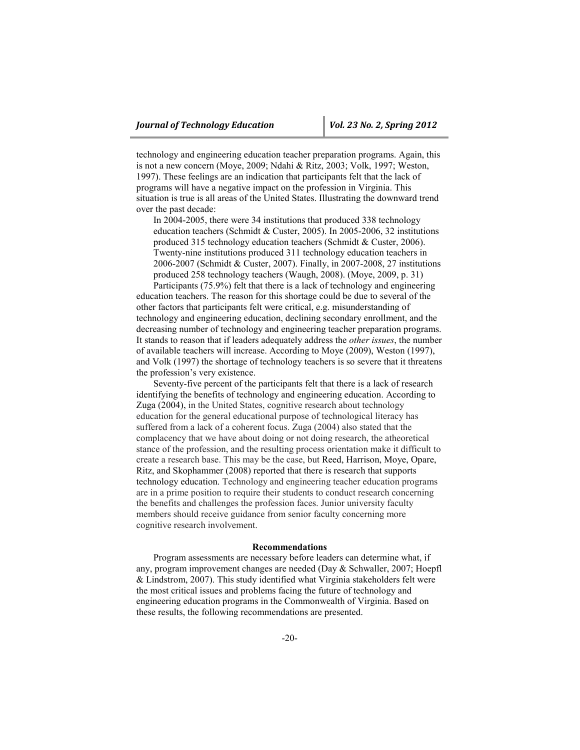technology and engineering education teacher preparation programs. Again, this is not a new concern (Moye, 2009; Ndahi & Ritz, 2003; Volk, 1997; Weston, 1997). These feelings are an indication that participants felt that the lack of programs will have a negative impact on the profession in Virginia. This situation is true is all areas of the United States. Illustrating the downward trend over the past decade:

In 2004-2005, there were 34 institutions that produced 338 technology education teachers (Schmidt & Custer, 2005). In 2005-2006, 32 institutions produced 315 technology education teachers (Schmidt & Custer, 2006). Twenty-nine institutions produced 311 technology education teachers in 2006-2007 (Schmidt & Custer, 2007). Finally, in 2007-2008, 27 institutions produced 258 technology teachers (Waugh, 2008). (Moye, 2009, p. 31)

Participants (75.9%) felt that there is a lack of technology and engineering education teachers. The reason for this shortage could be due to several of the other factors that participants felt were critical, e.g. misunderstanding of technology and engineering education, declining secondary enrollment, and the decreasing number of technology and engineering teacher preparation programs. It stands to reason that if leaders adequately address the *other issues*, the number of available teachers will increase. According to Moye (2009), Weston (1997), and Volk (1997) the shortage of technology teachers is so severe that it threatens the profession's very existence.

Seventy-five percent of the participants felt that there is a lack of research identifying the benefits of technology and engineering education. According to Zuga (2004), in the United States, cognitive research about technology education for the general educational purpose of technological literacy has suffered from a lack of a coherent focus. Zuga (2004) also stated that the complacency that we have about doing or not doing research, the atheoretical stance of the profession, and the resulting process orientation make it difficult to create a research base. This may be the case, but Reed, Harrison, Moye, Opare, Ritz, and Skophammer (2008) reported that there is research that supports technology education. Technology and engineering teacher education programs are in a prime position to require their students to conduct research concerning the benefits and challenges the profession faces. Junior university faculty members should receive guidance from senior faculty concerning more cognitive research involvement.

#### **Recommendations**

Program assessments are necessary before leaders can determine what, if any, program improvement changes are needed (Day & Schwaller, 2007; Hoepfl & Lindstrom, 2007). This study identified what Virginia stakeholders felt were the most critical issues and problems facing the future of technology and engineering education programs in the Commonwealth of Virginia. Based on these results, the following recommendations are presented.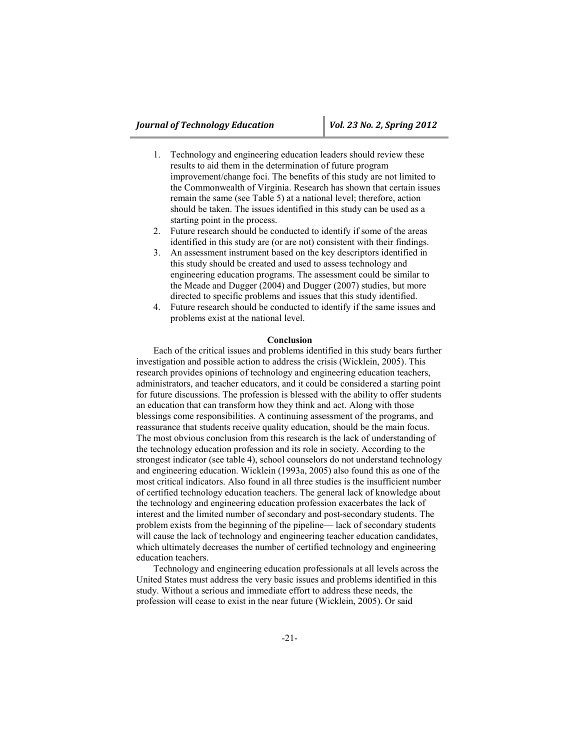- 1. Technology and engineering education leaders should review these results to aid them in the determination of future program improvement/change foci. The benefits of this study are not limited to the Commonwealth of Virginia. Research has shown that certain issues remain the same (see Table 5) at a national level; therefore, action should be taken. The issues identified in this study can be used as a starting point in the process.
- 2. Future research should be conducted to identify if some of the areas identified in this study are (or are not) consistent with their findings.
- 3. An assessment instrument based on the key descriptors identified in this study should be created and used to assess technology and engineering education programs. The assessment could be similar to the Meade and Dugger (2004) and Dugger (2007) studies, but more directed to specific problems and issues that this study identified.
- 4. Future research should be conducted to identify if the same issues and problems exist at the national level.

#### **Conclusion**

Each of the critical issues and problems identified in this study bears further investigation and possible action to address the crisis (Wicklein, 2005). This research provides opinions of technology and engineering education teachers, administrators, and teacher educators, and it could be considered a starting point for future discussions. The profession is blessed with the ability to offer students an education that can transform how they think and act. Along with those blessings come responsibilities. A continuing assessment of the programs, and reassurance that students receive quality education, should be the main focus. The most obvious conclusion from this research is the lack of understanding of the technology education profession and its role in society. According to the strongest indicator (see table 4), school counselors do not understand technology and engineering education. Wicklein (1993a, 2005) also found this as one of the most critical indicators. Also found in all three studies is the insufficient number of certified technology education teachers. The general lack of knowledge about the technology and engineering education profession exacerbates the lack of interest and the limited number of secondary and post-secondary students. The problem exists from the beginning of the pipeline— lack of secondary students will cause the lack of technology and engineering teacher education candidates, which ultimately decreases the number of certified technology and engineering education teachers.

Technology and engineering education professionals at all levels across the United States must address the very basic issues and problems identified in this study. Without a serious and immediate effort to address these needs, the profession will cease to exist in the near future (Wicklein, 2005). Or said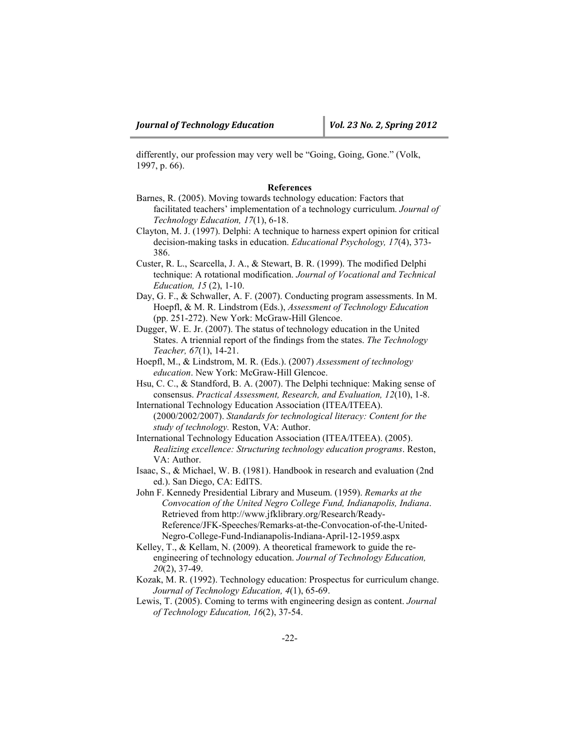differently, our profession may very well be "Going, Going, Gone." (Volk, 1997, p. 66).

## **References**

- Barnes, R. (2005). Moving towards technology education: Factors that facilitated teachers' implementation of a technology curriculum. *Journal of Technology Education, 17*(1), 6-18.
- Clayton, M. J. (1997). Delphi: A technique to harness expert opinion for critical decision-making tasks in education. *Educational Psychology, 17*(4), 373- 386.
- Custer, R. L., Scarcella, J. A., & Stewart, B. R. (1999). The modified Delphi technique: A rotational modification. *Journal of Vocational and Technical Education, 15* (2), 1-10.
- Day, G. F., & Schwaller, A. F. (2007). Conducting program assessments. In M. Hoepfl, & M. R. Lindstrom (Eds.), *Assessment of Technology Education* (pp. 251-272). New York: McGraw-Hill Glencoe.
- Dugger, W. E. Jr. (2007). The status of technology education in the United States. A triennial report of the findings from the states. *The Technology Teacher, 67*(1), 14-21.
- Hoepfl, M., & Lindstrom, M. R. (Eds.). (2007) *Assessment of technology education*. New York: McGraw-Hill Glencoe.
- Hsu, C. C., & Standford, B. A. (2007). The Delphi technique: Making sense of consensus. *Practical Assessment, Research, and Evaluation, 12*(10), 1-8.
- International Technology Education Association (ITEA/ITEEA). (2000/2002/2007). *Standards for technological literacy: Content for the study of technology.* Reston, VA: Author.
- International Technology Education Association (ITEA/ITEEA). (2005). *Realizing excellence: Structuring technology education programs*. Reston, VA: Author.
- Isaac, S., & Michael, W. B. (1981). Handbook in research and evaluation (2nd ed.). San Diego, CA: EdITS.
- John F. Kennedy Presidential Library and Museum. (1959). *Remarks at the Convocation of the United Negro College Fund, Indianapolis, Indiana*. Retrieved from http://www.jfklibrary.org/Research/Ready-Reference/JFK-Speeches/Remarks-at-the-Convocation-of-the-United-Negro-College-Fund-Indianapolis-Indiana-April-12-1959.aspx
- Kelley, T., & Kellam, N. (2009). A theoretical framework to guide the reengineering of technology education. *Journal of Technology Education, 20*(2), 37-49.
- Kozak, M. R. (1992). Technology education: Prospectus for curriculum change. *Journal of Technology Education, 4*(1), 65-69.
- Lewis, T. (2005). Coming to terms with engineering design as content. *Journal of Technology Education, 16*(2), 37-54.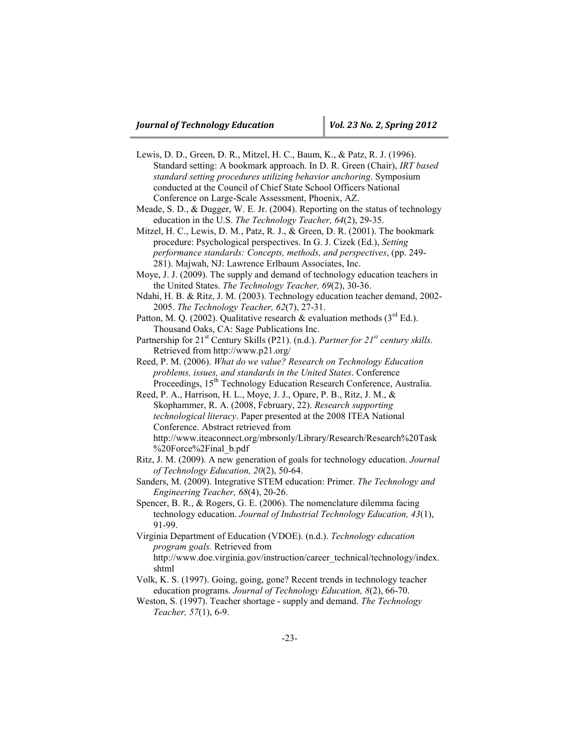- Lewis, D. D., Green, D. R., Mitzel, H. C., Baum, K., & Patz, R. J. (1996). Standard setting: A bookmark approach. In D. R. Green (Chair), *IRT based standard setting procedures utilizing behavior anchoring*. Symposium conducted at the Council of Chief State School Officers National Conference on Large-Scale Assessment, Phoenix, AZ.
- Meade, S. D., & Dugger, W. E. Jr. (2004). Reporting on the status of technology education in the U.S. *The Technology Teacher, 64*(2), 29-35.
- Mitzel, H. C., Lewis, D. M., Patz, R. J., & Green, D. R. (2001). The bookmark procedure: Psychological perspectives. In G. J. Cizek (Ed.), *Setting performance standards: Concepts, methods, and perspectives*, (pp. 249- 281). Majwah, NJ: Lawrence Erlbaum Associates, Inc.
- Moye, J. J. (2009). The supply and demand of technology education teachers in the United States. *The Technology Teacher, 69*(2), 30-36.
- Ndahi, H. B. & Ritz, J. M. (2003). Technology education teacher demand, 2002- 2005. *The Technology Teacher, 62*(7), 27-31.
- Patton, M. Q. (2002). Qualitative research & evaluation methods ( $3<sup>rd</sup> Ed$ ). Thousand Oaks, CA: Sage Publications Inc.
- Partnership for 21st Century Skills (P21). (n.d.). *Partner for 21st century skills*. Retrieved from http://www.p21.org/
- Reed, P. M. (2006). *What do we value? Research on Technology Education problems, issues, and standards in the United States*. Conference Proceedings, 15<sup>th</sup> Technology Education Research Conference, Australia.
- Reed, P. A., Harrison, H. L., Moye, J. J., Opare, P. B., Ritz, J. M., & Skophammer, R. A. (2008, February, 22). *Research supporting technological literacy*. Paper presented at the 2008 ITEA National Conference. Abstract retrieved from http://www.iteaconnect.org/mbrsonly/Library/Research/Research%20Task %20Force%2Final\_b.pdf
- Ritz, J. M. (2009). A new generation of goals for technology education. *Journal of Technology Education, 20*(2), 50-64.
- Sanders, M. (2009). Integrative STEM education: Primer. *The Technology and Engineering Teacher, 68*(4), 20-26.
- Spencer, B. R., & Rogers, G. E. (2006). The nomenclature dilemma facing technology education. *Journal of Industrial Technology Education, 43*(1), 91-99.
- Virginia Department of Education (VDOE). (n.d.). *Technology education program goals.* Retrieved from http://www.doe.virginia.gov/instruction/career\_technical/technology/index.
	- shtml
- Volk, K. S. (1997). Going, going, gone? Recent trends in technology teacher education programs. *Journal of Technology Education, 8*(2), 66-70.
- Weston, S. (1997). Teacher shortage supply and demand. *The Technology Teacher, 57*(1), 6-9.